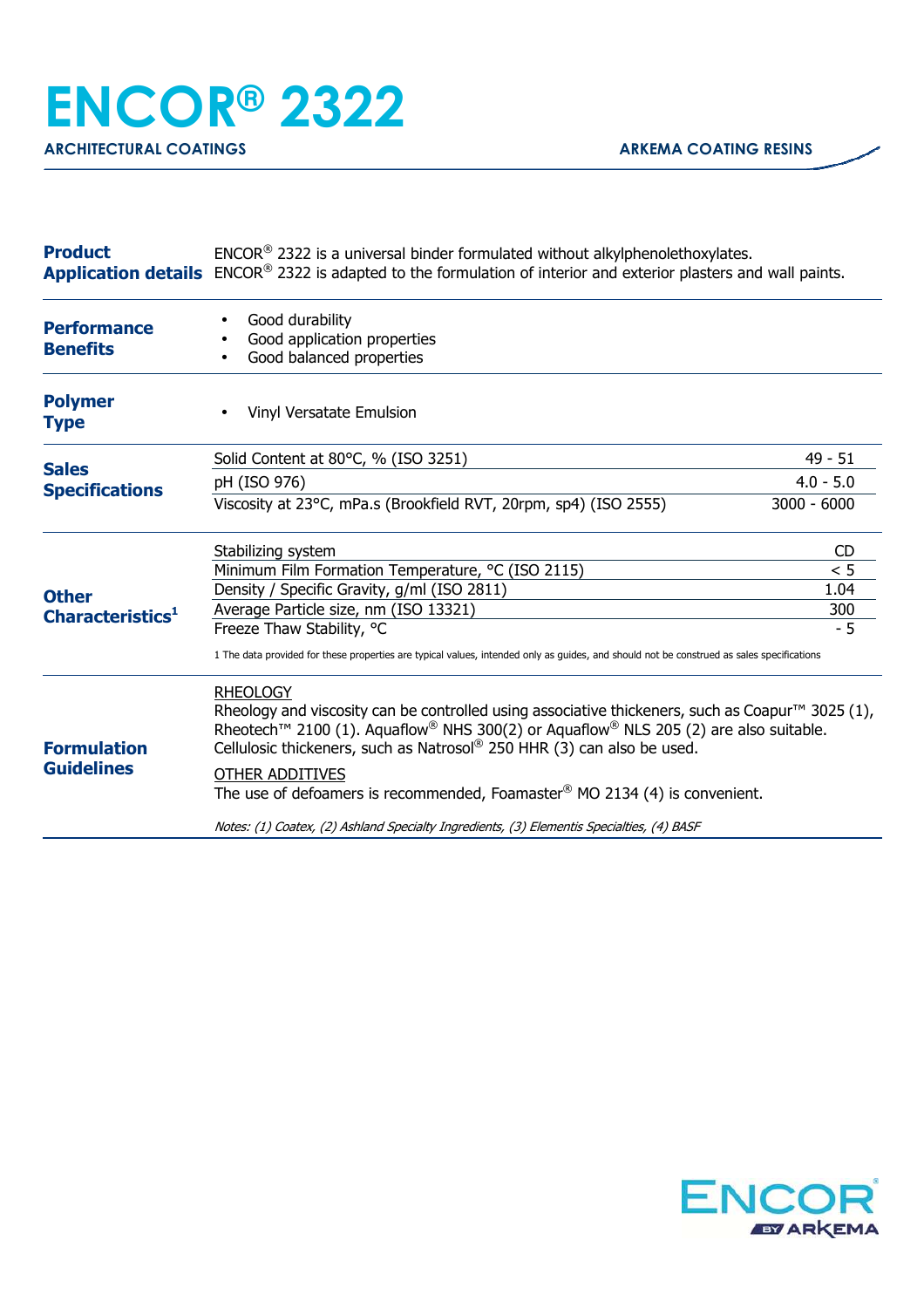| <b>Product</b>                               | $ENCOR®$ 2322 is a universal binder formulated without alkylphenolethoxylates.<br>Application details ENCOR <sup>®</sup> 2322 is adapted to the formulation of interior and exterior plasters and wall paints.                                                                                                                                                                                                                                                                                                                                  |               |
|----------------------------------------------|-------------------------------------------------------------------------------------------------------------------------------------------------------------------------------------------------------------------------------------------------------------------------------------------------------------------------------------------------------------------------------------------------------------------------------------------------------------------------------------------------------------------------------------------------|---------------|
| <b>Performance</b><br><b>Benefits</b>        | Good durability<br>Good application properties<br>Good balanced properties                                                                                                                                                                                                                                                                                                                                                                                                                                                                      |               |
| <b>Polymer</b><br><b>Type</b>                | Vinyl Versatate Emulsion                                                                                                                                                                                                                                                                                                                                                                                                                                                                                                                        |               |
| <b>Sales</b><br><b>Specifications</b>        | Solid Content at 80°C, % (ISO 3251)                                                                                                                                                                                                                                                                                                                                                                                                                                                                                                             | $49 - 51$     |
|                                              | pH (ISO 976)                                                                                                                                                                                                                                                                                                                                                                                                                                                                                                                                    | $4.0 - 5.0$   |
|                                              | Viscosity at 23°C, mPa.s (Brookfield RVT, 20rpm, sp4) (ISO 2555)                                                                                                                                                                                                                                                                                                                                                                                                                                                                                | $3000 - 6000$ |
| <b>Other</b><br>Characteristics <sup>1</sup> | Stabilizing system                                                                                                                                                                                                                                                                                                                                                                                                                                                                                                                              | <b>CD</b>     |
|                                              | Minimum Film Formation Temperature, °C (ISO 2115)                                                                                                                                                                                                                                                                                                                                                                                                                                                                                               | < 5           |
|                                              | Density / Specific Gravity, g/ml (ISO 2811)                                                                                                                                                                                                                                                                                                                                                                                                                                                                                                     | 1.04          |
|                                              | Average Particle size, nm (ISO 13321)                                                                                                                                                                                                                                                                                                                                                                                                                                                                                                           | 300           |
|                                              | Freeze Thaw Stability, °C                                                                                                                                                                                                                                                                                                                                                                                                                                                                                                                       | $-5$          |
|                                              | 1 The data provided for these properties are typical values, intended only as guides, and should not be construed as sales specifications                                                                                                                                                                                                                                                                                                                                                                                                       |               |
| <b>Formulation</b><br><b>Guidelines</b>      | <b>RHEOLOGY</b><br>Rheology and viscosity can be controlled using associative thickeners, such as Coapur <sup>™</sup> 3025 (1),<br>Rheotech <sup>™</sup> 2100 (1). Aquaflow <sup>®</sup> NHS 300(2) or Aquaflow <sup>®</sup> NLS 205 (2) are also suitable.<br>Cellulosic thickeners, such as Natrosol® 250 HHR (3) can also be used.<br>OTHER ADDITIVES<br>The use of defoamers is recommended, Foamaster <sup>®</sup> MO 2134 (4) is convenient.<br>Notes: (1) Coatex, (2) Ashland Specialty Ingredients, (3) Elementis Specialties, (4) BASF |               |